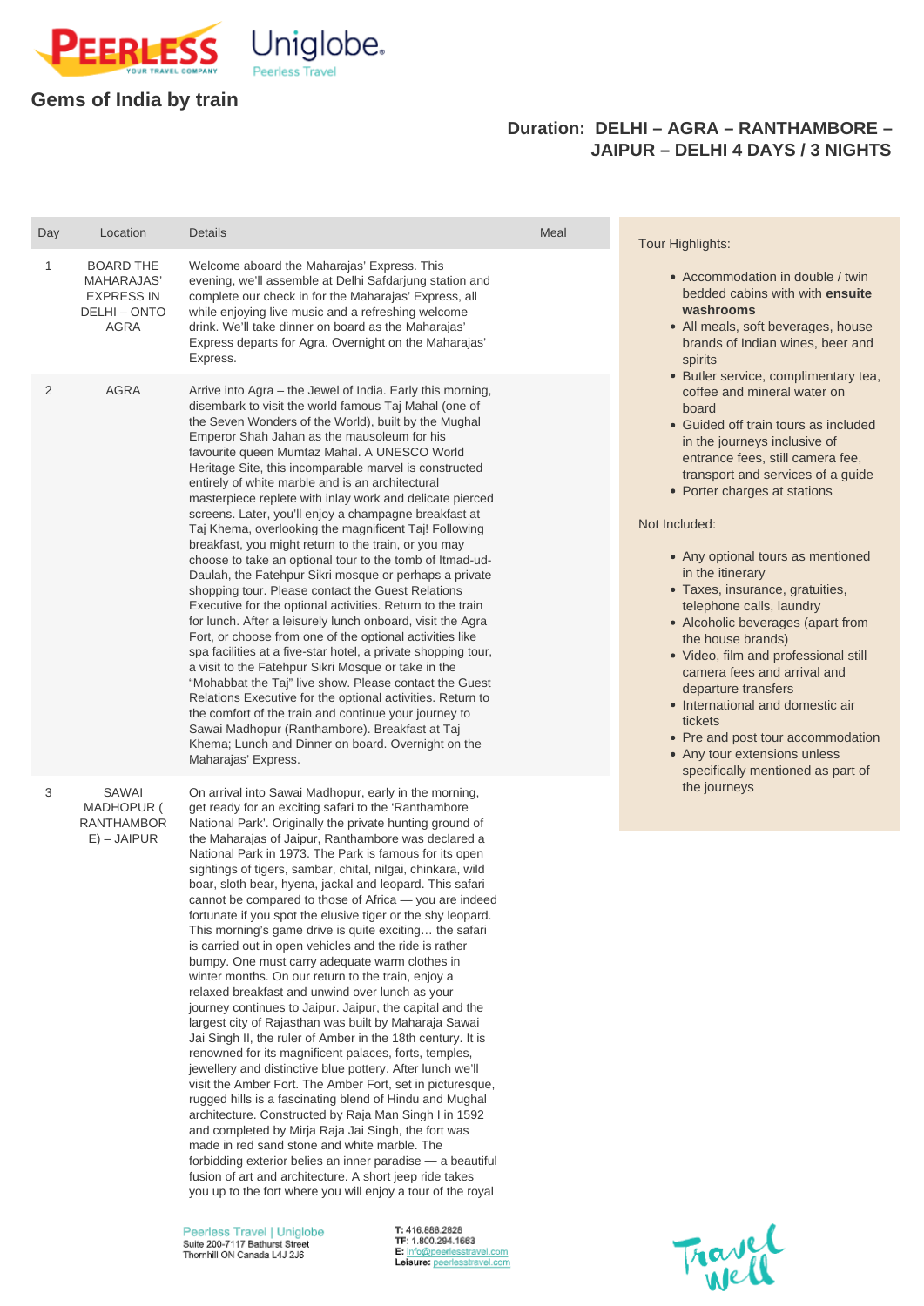

## **Gems of India by train**

## **Duration: DELHI – AGRA – RANTHAMBORE – JAIPUR – DELHI 4 DAYS / 3 NIGHTS**

| Day          | Location                                                                                         | <b>Details</b>                                                                                                                                                                                                                                                                                                                                                                                                                                                                                                                                                                                                                                                                                                                                                                                                                                                                                                                                                                                                                                                                                                                                                                                                                                                                                                                                                                                                                            | Meal | <b>Tour Highlights:</b>                                                                                                                                                                                                                                                                                                                                                                                                                                                                                                                                                                                                                                                                                                                                                                                                                                                                          |
|--------------|--------------------------------------------------------------------------------------------------|-------------------------------------------------------------------------------------------------------------------------------------------------------------------------------------------------------------------------------------------------------------------------------------------------------------------------------------------------------------------------------------------------------------------------------------------------------------------------------------------------------------------------------------------------------------------------------------------------------------------------------------------------------------------------------------------------------------------------------------------------------------------------------------------------------------------------------------------------------------------------------------------------------------------------------------------------------------------------------------------------------------------------------------------------------------------------------------------------------------------------------------------------------------------------------------------------------------------------------------------------------------------------------------------------------------------------------------------------------------------------------------------------------------------------------------------|------|--------------------------------------------------------------------------------------------------------------------------------------------------------------------------------------------------------------------------------------------------------------------------------------------------------------------------------------------------------------------------------------------------------------------------------------------------------------------------------------------------------------------------------------------------------------------------------------------------------------------------------------------------------------------------------------------------------------------------------------------------------------------------------------------------------------------------------------------------------------------------------------------------|
| $\mathbf{1}$ | <b>BOARD THE</b><br><b>MAHARAJAS'</b><br><b>EXPRESS IN</b><br><b>DELHI - ONTO</b><br><b>AGRA</b> | Welcome aboard the Maharajas' Express. This<br>evening, we'll assemble at Delhi Safdarjung station and<br>complete our check in for the Maharajas' Express, all<br>while enjoying live music and a refreshing welcome<br>drink. We'll take dinner on board as the Maharajas'<br>Express departs for Agra. Overnight on the Maharajas'<br>Express.                                                                                                                                                                                                                                                                                                                                                                                                                                                                                                                                                                                                                                                                                                                                                                                                                                                                                                                                                                                                                                                                                         |      | • Accommodation in double / twin<br>bedded cabins with with ensuite<br>washrooms<br>• All meals, soft beverages, house<br>brands of Indian wines, beer and<br>spirits<br>• Butler service, complimentary tea,<br>coffee and mineral water on<br>board<br>• Guided off train tours as included<br>in the journeys inclusive of<br>entrance fees, still camera fee,<br>transport and services of a guide<br>• Porter charges at stations<br>Not Included:<br>• Any optional tours as mentioned<br>in the itinerary<br>• Taxes, insurance, gratuities,<br>telephone calls, laundry<br>• Alcoholic beverages (apart from<br>the house brands)<br>• Video, film and professional still<br>camera fees and arrival and<br>departure transfers<br>• International and domestic air<br>tickets<br>• Pre and post tour accommodation<br>• Any tour extensions unless<br>specifically mentioned as part of |
| 2            | <b>AGRA</b>                                                                                      | Arrive into Agra – the Jewel of India. Early this morning,<br>disembark to visit the world famous Taj Mahal (one of<br>the Seven Wonders of the World), built by the Mughal<br>Emperor Shah Jahan as the mausoleum for his<br>favourite queen Mumtaz Mahal. A UNESCO World<br>Heritage Site, this incomparable marvel is constructed<br>entirely of white marble and is an architectural<br>masterpiece replete with inlay work and delicate pierced<br>screens. Later, you'll enjoy a champagne breakfast at<br>Taj Khema, overlooking the magnificent Taj! Following<br>breakfast, you might return to the train, or you may<br>choose to take an optional tour to the tomb of Itmad-ud-<br>Daulah, the Fatehpur Sikri mosque or perhaps a private<br>shopping tour. Please contact the Guest Relations<br>Executive for the optional activities. Return to the train<br>for lunch. After a leisurely lunch onboard, visit the Agra<br>Fort, or choose from one of the optional activities like<br>spa facilities at a five-star hotel, a private shopping tour,<br>a visit to the Fatehpur Sikri Mosque or take in the<br>"Mohabbat the Taj" live show. Please contact the Guest<br>Relations Executive for the optional activities. Return to<br>the comfort of the train and continue your journey to<br>Sawai Madhopur (Ranthambore). Breakfast at Taj<br>Khema; Lunch and Dinner on board. Overnight on the<br>Maharajas' Express. |      |                                                                                                                                                                                                                                                                                                                                                                                                                                                                                                                                                                                                                                                                                                                                                                                                                                                                                                  |
| 3            | <b>SAWAI</b><br>MADHOPUR (<br><b>RANTHAMBOR</b>                                                  | On arrival into Sawai Madhopur, early in the morning,<br>get ready for an exciting safari to the 'Ranthambore<br>National Park'. Originally the private hunting ground of                                                                                                                                                                                                                                                                                                                                                                                                                                                                                                                                                                                                                                                                                                                                                                                                                                                                                                                                                                                                                                                                                                                                                                                                                                                                 |      | the journeys                                                                                                                                                                                                                                                                                                                                                                                                                                                                                                                                                                                                                                                                                                                                                                                                                                                                                     |
|              | $E$ ) – JAIPUR                                                                                   | the Maharajas of Jaipur, Ranthambore was declared a<br>National Park in 1973. The Park is famous for its open<br>sightings of tigers, sambar, chital, nilgai, chinkara, wild<br>boar, sloth bear, hyena, jackal and leopard. This safari<br>cannot be compared to those of Africa - you are indeed<br>fortunate if you spot the elusive tiger or the shy leopard.<br>This morning's game drive is quite exciting the safari                                                                                                                                                                                                                                                                                                                                                                                                                                                                                                                                                                                                                                                                                                                                                                                                                                                                                                                                                                                                               |      |                                                                                                                                                                                                                                                                                                                                                                                                                                                                                                                                                                                                                                                                                                                                                                                                                                                                                                  |

is carried out in open vehicles and the ride is rather bumpy. One must carry adequate warm clothes in winter months. On our return to the train, enjoy a

Peerless Travel | Uniglobe Suite 200-7117 Bathurst Street Thornhill ON Canada L4J 2J6

T: 416.888.2828 TF: 1.800.294.1663 E: info@peerlesstravel.com Leisure: peerlesstravel.com



relaxed breakfast and unwind over lunch as your journey continues to Jaipur. Jaipur, the capital and the largest city of Rajasthan was built by Maharaja Sawai Jai Singh II, the ruler of Amber in the 18th century. It is renowned for its magnificent palaces, forts, temples, jewellery and distinctive blue pottery. After lunch we'll visit the Amber Fort. The Amber Fort, set in picturesque, rugged hills is a fascinating blend of Hindu and Mughal architecture. Constructed by Raja Man Singh I in 1592 and completed by Mirja Raja Jai Singh, the fort was made in red sand stone and white marble. The forbidding exterior belies an inner paradise — a beautiful fusion of art and architecture. A short jeep ride takes you up to the fort where you will enjoy a tour of the royal